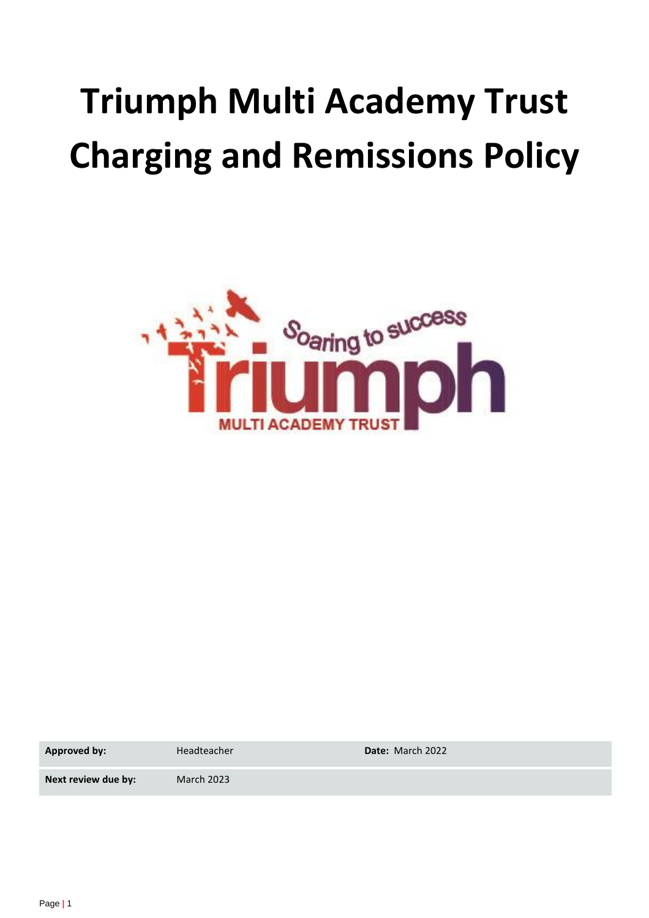# **Triumph Multi Academy Trust Charging and Remissions Policy**



**Approved by:** Headteacher **Date:** March 2022

**Next review due by:** March 2023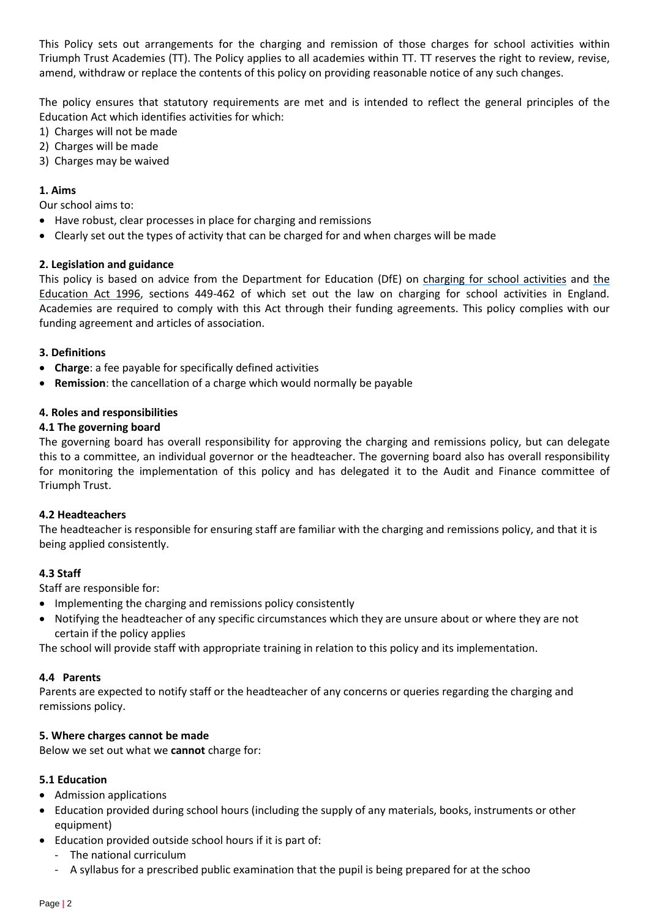This Policy sets out arrangements for the charging and remission of those charges for school activities within Triumph Trust Academies (TT). The Policy applies to all academies within TT. TT reserves the right to review, revise, amend, withdraw or replace the contents of this policy on providing reasonable notice of any such changes.

The policy ensures that statutory requirements are met and is intended to reflect the general principles of the Education Act which identifies activities for which:

- 1) Charges will not be made
- 2) Charges will be made
- 3) Charges may be waived

# **1. Aims**

Our school aims to:

- Have robust, clear processes in place for charging and remissions
- Clearly set out the types of activity that can be charged for and when charges will be made

# **2. Legislation and guidance**

This policy is based on advice from the Department for Education (DfE) on [charging for school activities](https://www.gov.uk/government/publications/charging-for-school-activities) and the [Education Act 1996,](http://www.legislation.gov.uk/ukpga/1996/56/part/VI/chapter/III) sections 449-462 of which set out the law on charging for school activities in England. Academies are required to comply with this Act through their funding agreements. This policy complies with our funding agreement and articles of association.

## **3. Definitions**

- **Charge**: a fee payable for specifically defined activities
- **Remission**: the cancellation of a charge which would normally be payable

## **4. Roles and responsibilities**

## **4.1 The governing board**

The governing board has overall responsibility for approving the charging and remissions policy, but can delegate this to a committee, an individual governor or the headteacher. The governing board also has overall responsibility for monitoring the implementation of this policy and has delegated it to the Audit and Finance committee of Triumph Trust.

## **4.2 Headteachers**

The headteacher is responsible for ensuring staff are familiar with the charging and remissions policy, and that it is being applied consistently.

# **4.3 Staff**

Staff are responsible for:

- Implementing the charging and remissions policy consistently
- Notifying the headteacher of any specific circumstances which they are unsure about or where they are not certain if the policy applies

The school will provide staff with appropriate training in relation to this policy and its implementation.

## **4.4 Parents**

Parents are expected to notify staff or the headteacher of any concerns or queries regarding the charging and remissions policy.

# **5. Where charges cannot be made**

Below we set out what we **cannot** charge for:

## **5.1 Education**

- Admission applications
- Education provided during school hours (including the supply of any materials, books, instruments or other equipment)
- Education provided outside school hours if it is part of:
	- The national curriculum
	- A syllabus for a prescribed public examination that the pupil is being prepared for at the schoo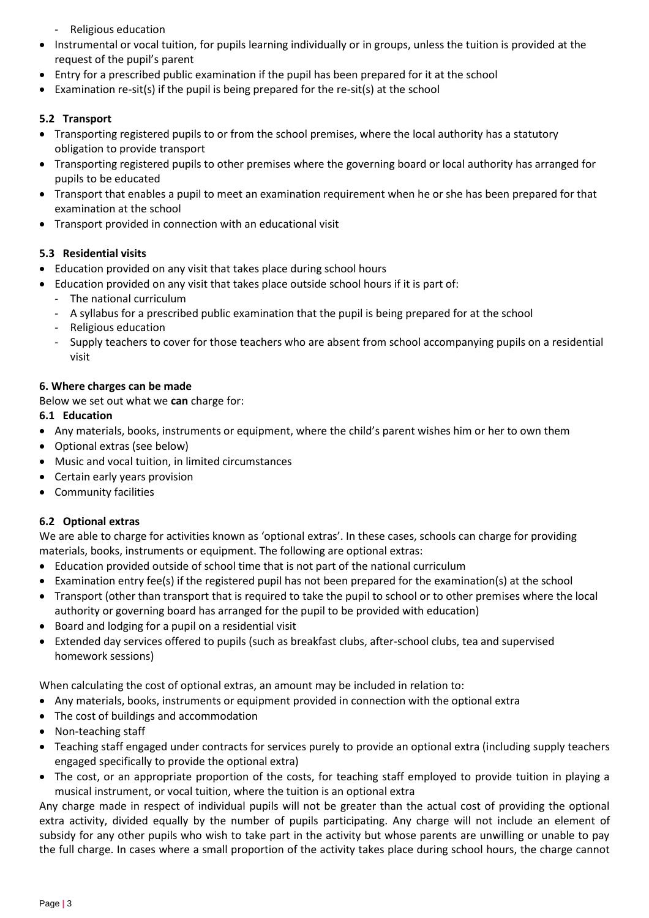- Religious education
- Instrumental or vocal tuition, for pupils learning individually or in groups, unless the tuition is provided at the request of the pupil's parent
- Entry for a prescribed public examination if the pupil has been prepared for it at the school
- Examination re-sit(s) if the pupil is being prepared for the re-sit(s) at the school

# **5.2 Transport**

- Transporting registered pupils to or from the school premises, where the local authority has a statutory obligation to provide transport
- Transporting registered pupils to other premises where the governing board or local authority has arranged for pupils to be educated
- Transport that enables a pupil to meet an examination requirement when he or she has been prepared for that examination at the school
- Transport provided in connection with an educational visit

# **5.3 Residential visits**

- Education provided on any visit that takes place during school hours
- Education provided on any visit that takes place outside school hours if it is part of:
	- The national curriculum
	- A syllabus for a prescribed public examination that the pupil is being prepared for at the school
	- Religious education
	- Supply teachers to cover for those teachers who are absent from school accompanying pupils on a residential visit

# **6. Where charges can be made**

Below we set out what we **can** charge for:

# **6.1 Education**

- Any materials, books, instruments or equipment, where the child's parent wishes him or her to own them
- Optional extras (see below)
- Music and vocal tuition, in limited circumstances
- Certain early years provision
- Community facilities

# **6.2 Optional extras**

We are able to charge for activities known as 'optional extras'. In these cases, schools can charge for providing materials, books, instruments or equipment. The following are optional extras:

- Education provided outside of school time that is not part of the national curriculum
- Examination entry fee(s) if the registered pupil has not been prepared for the examination(s) at the school
- Transport (other than transport that is required to take the pupil to school or to other premises where the local authority or governing board has arranged for the pupil to be provided with education)
- Board and lodging for a pupil on a residential visit
- Extended day services offered to pupils (such as breakfast clubs, after-school clubs, tea and supervised homework sessions)

When calculating the cost of optional extras, an amount may be included in relation to:

- Any materials, books, instruments or equipment provided in connection with the optional extra
- The cost of buildings and accommodation
- Non-teaching staff
- Teaching staff engaged under contracts for services purely to provide an optional extra (including supply teachers engaged specifically to provide the optional extra)
- The cost, or an appropriate proportion of the costs, for teaching staff employed to provide tuition in playing a musical instrument, or vocal tuition, where the tuition is an optional extra

Any charge made in respect of individual pupils will not be greater than the actual cost of providing the optional extra activity, divided equally by the number of pupils participating. Any charge will not include an element of subsidy for any other pupils who wish to take part in the activity but whose parents are unwilling or unable to pay the full charge. In cases where a small proportion of the activity takes place during school hours, the charge cannot